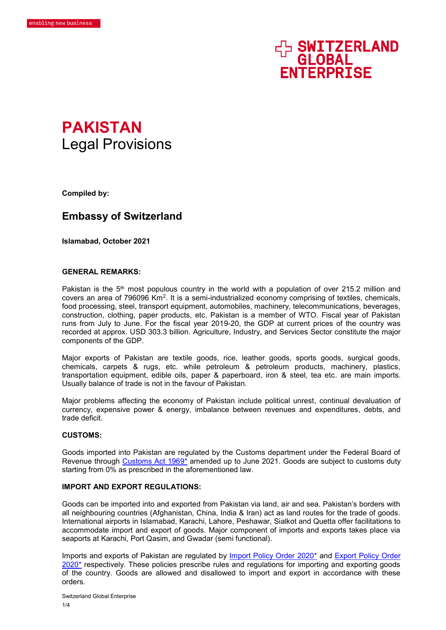# HA SWITZERLAND **FNTFRPRTSF**



**Compiled by:** 

# **Embassy of Switzerland**

**Islamabad, October 2021**

#### **GENERAL REMARKS:**

Pakistan is the  $5<sup>th</sup>$  most populous country in the world with a population of over 215.2 million and covers an area of 796096 Km<sup>2</sup>. It is a semi-industrialized economy comprising of textiles, chemicals, food processing, steel, transport equipment, automobiles, machinery, telecommunications, beverages, construction, clothing, paper products, etc. Pakistan is a member of WTO. Fiscal year of Pakistan runs from July to June. For the fiscal year 2019-20, the GDP at current prices of the country was recorded at approx. USD 303.3 billion. Agriculture, Industry, and Services Sector constitute the major components of the GDP.

Major exports of Pakistan are textile goods, rice, leather goods, sports goods, surgical goods, chemicals, carpets & rugs, etc. while petroleum & petroleum products, machinery, plastics, transportation equipment, edible oils, paper & paperboard, iron & steel, tea etc. are main imports. Usually balance of trade is not in the favour of Pakistan.

Major problems affecting the economy of Pakistan include political unrest, continual devaluation of currency, expensive power & energy, imbalance between revenues and expenditures, debts, and trade deficit.

#### **CUSTOMS:**

Goods imported into Pakistan are regulated by the Customs department under the Federal Board of Revenue through Customs Act 1969<sup>\*</sup> amended up to June 2021. Goods are subject to customs duty starting from 0% as prescribed in the aforementioned law.

# **IMPORT AND EXPORT REGULATIONS:**

Goods can be imported into and exported from Pakistan via land, air and sea. Pakistan's borders with all neighbouring countries (Afghanistan, China, India & Iran) act as land routes for the trade of goods. International airports in Islamabad, Karachi, Lahore, Peshawar, Sialkot and Quetta offer facilitations to accommodate import and export of goods. Major component of imports and exports takes place via seaports at Karachi, Port Qasim, and Gwadar (semi functional).

Imports and exports of Pakistan are regulated by [Import Policy Order 2020\\*](http://www.commerce.gov.pk/wp-content/uploads/2020/09/Import-Policy-Order-25-09-2020.pdf) and [Export Policy Order](http://www.commerce.gov.pk/wp-content/uploads/2020/09/Export-Policy-Order-25-09-2020.pdf)   $2020*$  respectively. These policies prescribe rules and regulations for importing and exporting goods of the country. Goods are allowed and disallowed to import and export in accordance with these orders.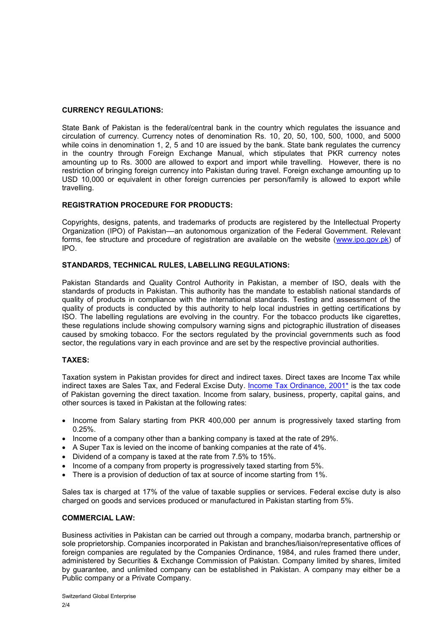# **CURRENCY REGULATIONS:**

State Bank of Pakistan is the federal/central bank in the country which regulates the issuance and circulation of currency. Currency notes of denomination Rs. 10, 20, 50, 100, 500, 1000, and 5000 while coins in denomination 1, 2, 5 and 10 are issued by the bank. State bank regulates the currency in the country through Foreign Exchange Manual, which stipulates that PKR currency notes amounting up to Rs. 3000 are allowed to export and import while travelling. However, there is no restriction of bringing foreign currency into Pakistan during travel. Foreign exchange amounting up to USD 10,000 or equivalent in other foreign currencies per person/family is allowed to export while travelling.

# **REGISTRATION PROCEDURE FOR PRODUCTS:**

Copyrights, designs, patents, and trademarks of products are registered by the Intellectual Property Organization (IPO) of Pakistan––an autonomous organization of the Federal Government. Relevant forms, fee structure and procedure of registration are available on the website [\(www.ipo.gov.pk\)](http://www.ipo.gov.pk/) of IPO.

# **STANDARDS, TECHNICAL RULES, LABELLING REGULATIONS:**

Pakistan Standards and Quality Control Authority in Pakistan, a member of ISO, deals with the standards of products in Pakistan. This authority has the mandate to establish national standards of quality of products in compliance with the international standards. Testing and assessment of the quality of products is conducted by this authority to help local industries in getting certifications by ISO. The labelling regulations are evolving in the country. For the tobacco products like cigarettes, these regulations include showing compulsory warning signs and pictographic illustration of diseases caused by smoking tobacco. For the sectors regulated by the provincial governments such as food sector, the regulations vary in each province and are set by the respective provincial authorities.

# **TAXES:**

Taxation system in Pakistan provides for direct and indirect taxes. Direct taxes are Income Tax while indirect taxes are Sales Tax, and Federal Excise Duty. [Income Tax Ordinance, 2001\\*](https://download1.fbr.gov.pk/Docs/20217141672549772IncomeTaxOrdinanceAmendedupto30.06.2021.pdf) is the tax code of Pakistan governing the direct taxation. Income from salary, business, property, capital gains, and other sources is taxed in Pakistan at the following rates:

- Income from Salary starting from PKR 400,000 per annum is progressively taxed starting from 0.25%.
- $\bullet$  Income of a company other than a banking company is taxed at the rate of 29%.
- A Super Tax is levied on the income of banking companies at the rate of 4%.
- Dividend of a company is taxed at the rate from 7.5% to 15%.
- $\bullet$  Income of a company from property is progressively taxed starting from 5%.
- There is a provision of deduction of tax at source of income starting from 1%.

Sales tax is charged at 17% of the value of taxable supplies or services. Federal excise duty is also charged on goods and services produced or manufactured in Pakistan starting from 5%.

#### **COMMERCIAL LAW:**

Business activities in Pakistan can be carried out through a company, modarba branch, partnership or sole proprietorship. Companies incorporated in Pakistan and branches/liaison/representative offices of foreign companies are regulated by the Companies Ordinance, 1984, and rules framed there under, administered by Securities & Exchange Commission of Pakistan. Company limited by shares, limited by guarantee, and unlimited company can be established in Pakistan. A company may either be a Public company or a Private Company.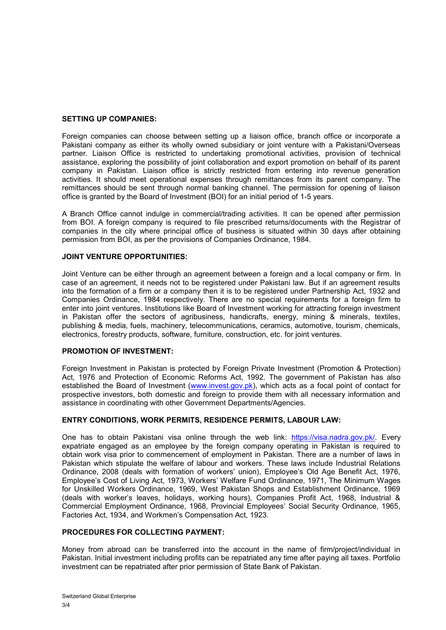#### **SETTING UP COMPANIES:**

Foreign companies can choose between setting up a liaison office, branch office or incorporate a Pakistani company as either its wholly owned subsidiary or joint venture with a Pakistani/Overseas partner. Liaison Office is restricted to undertaking promotional activities, provision of technical assistance, exploring the possibility of joint collaboration and export promotion on behalf of its parent company in Pakistan. Liaison office is strictly restricted from entering into revenue generation activities. It should meet operational expenses through remittances from its parent company. The remittances should be sent through normal banking channel. The permission for opening of liaison office is granted by the Board of Investment (BOI) for an initial period of 1-5 years.

A Branch Office cannot indulge in commercial/trading activities. It can be opened after permission from BOI. A foreign company is required to file prescribed returns/documents with the Registrar of companies in the city where principal office of business is situated within 30 days after obtaining permission from BOI, as per the provisions of Companies Ordinance, 1984.

# **JOINT VENTURE OPPORTUNITIES:**

Joint Venture can be either through an agreement between a foreign and a local company or firm. In case of an agreement, it needs not to be registered under Pakistani law. But if an agreement results into the formation of a firm or a company then it is to be registered under Partnership Act, 1932 and Companies Ordinance, 1984 respectively. There are no special requirements for a foreign firm to enter into joint ventures. Institutions like Board of Investment working for attracting foreign investment in Pakistan offer the sectors of agribusiness, handicrafts, energy, mining & minerals, textiles, publishing & media, fuels, machinery, telecommunications, ceramics, automotive, tourism, chemicals, electronics, forestry products, software, furniture, construction, etc. for joint ventures.

# **PROMOTION OF INVESTMENT:**

Foreign Investment in Pakistan is protected by Foreign Private Investment (Promotion & Protection) Act, 1976 and Protection of Economic Reforms Act, 1992. The government of Pakistan has also established the Board of Investment [\(www.invest.gov.pk\)](http://www.invest.gov.pk/), which acts as a focal point of contact for prospective investors, both domestic and foreign to provide them with all necessary information and assistance in coordinating with other Government Departments/Agencies.

# **ENTRY CONDITIONS, WORK PERMITS, RESIDENCE PERMITS, LABOUR LAW:**

One has to obtain Pakistani visa online through the web link: [https://visa.nadra.gov.pk/.](https://visa.nadra.gov.pk/) Every expatriate engaged as an employee by the foreign company operating in Pakistan is required to obtain work visa prior to commencement of employment in Pakistan. There are a number of laws in Pakistan which stipulate the welfare of labour and workers. These laws include Industrial Relations Ordinance, 2008 (deals with formation of workers' union), Employee's Old Age Benefit Act, 1976, Employee's Cost of Living Act, 1973, Workers' Welfare Fund Ordinance, 1971, The Minimum Wages for Unskilled Workers Ordinance, 1969, West Pakistan Shops and Establishment Ordinance, 1969 (deals with worker's leaves, holidays, working hours), Companies Profit Act, 1968, Industrial & Commercial Employment Ordinance, 1968, Provincial Employees' Social Security Ordinance, 1965, Factories Act, 1934, and Workmen's Compensation Act, 1923.

# **PROCEDURES FOR COLLECTING PAYMENT:**

Money from abroad can be transferred into the account in the name of firm/project/individual in Pakistan. Initial investment including profits can be repatriated any time after paying all taxes. Portfolio investment can be repatriated after prior permission of State Bank of Pakistan.